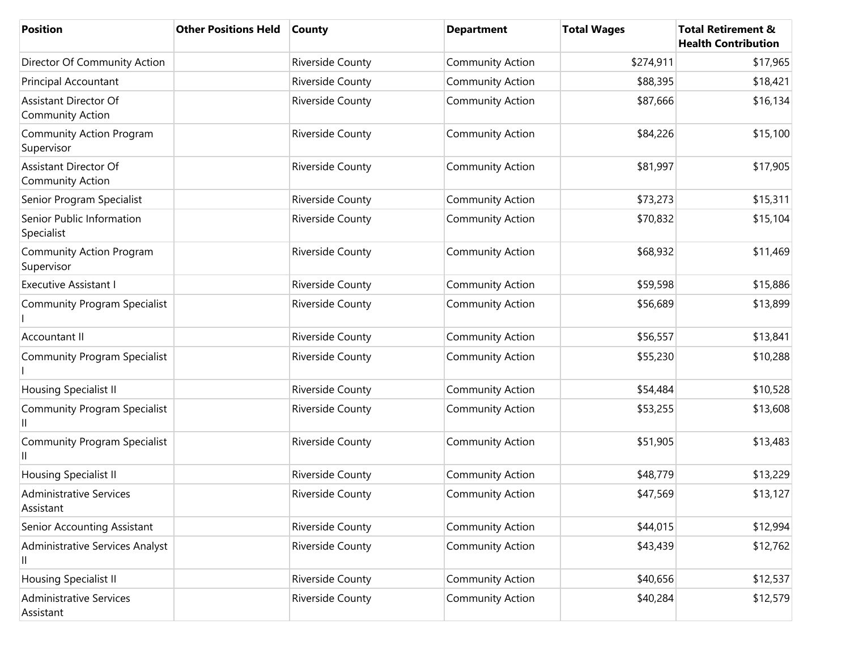| <b>Position</b>                                         | <b>Other Positions Held</b> | <b>County</b>    | <b>Department</b>       | <b>Total Wages</b> | <b>Total Retirement &amp;</b><br><b>Health Contribution</b> |
|---------------------------------------------------------|-----------------------------|------------------|-------------------------|--------------------|-------------------------------------------------------------|
| Director Of Community Action                            |                             | Riverside County | <b>Community Action</b> | \$274,911          | \$17,965                                                    |
| Principal Accountant                                    |                             | Riverside County | <b>Community Action</b> | \$88,395           | \$18,421                                                    |
| <b>Assistant Director Of</b><br><b>Community Action</b> |                             | Riverside County | <b>Community Action</b> | \$87,666           | \$16,134                                                    |
| <b>Community Action Program</b><br>Supervisor           |                             | Riverside County | <b>Community Action</b> | \$84,226           | \$15,100                                                    |
| <b>Assistant Director Of</b><br><b>Community Action</b> |                             | Riverside County | <b>Community Action</b> | \$81,997           | \$17,905                                                    |
| Senior Program Specialist                               |                             | Riverside County | <b>Community Action</b> | \$73,273           | \$15,311                                                    |
| Senior Public Information<br>Specialist                 |                             | Riverside County | <b>Community Action</b> | \$70,832           | \$15,104                                                    |
| Community Action Program<br>Supervisor                  |                             | Riverside County | <b>Community Action</b> | \$68,932           | \$11,469                                                    |
| <b>Executive Assistant I</b>                            |                             | Riverside County | <b>Community Action</b> | \$59,598           | \$15,886                                                    |
| <b>Community Program Specialist</b>                     |                             | Riverside County | <b>Community Action</b> | \$56,689           | \$13,899                                                    |
| Accountant II                                           |                             | Riverside County | <b>Community Action</b> | \$56,557           | \$13,841                                                    |
| <b>Community Program Specialist</b>                     |                             | Riverside County | <b>Community Action</b> | \$55,230           | \$10,288                                                    |
| <b>Housing Specialist II</b>                            |                             | Riverside County | <b>Community Action</b> | \$54,484           | \$10,528                                                    |
| <b>Community Program Specialist</b>                     |                             | Riverside County | <b>Community Action</b> | \$53,255           | \$13,608                                                    |
| <b>Community Program Specialist</b><br>Ш                |                             | Riverside County | <b>Community Action</b> | \$51,905           | \$13,483                                                    |
| <b>Housing Specialist II</b>                            |                             | Riverside County | <b>Community Action</b> | \$48,779           | \$13,229                                                    |
| <b>Administrative Services</b><br>Assistant             |                             | Riverside County | <b>Community Action</b> | \$47,569           | \$13,127                                                    |
| Senior Accounting Assistant                             |                             | Riverside County | <b>Community Action</b> | \$44,015           | \$12,994                                                    |
| Administrative Services Analyst<br>Ш                    |                             | Riverside County | <b>Community Action</b> | \$43,439           | \$12,762                                                    |
| <b>Housing Specialist II</b>                            |                             | Riverside County | <b>Community Action</b> | \$40,656           | \$12,537                                                    |
| <b>Administrative Services</b><br>Assistant             |                             | Riverside County | <b>Community Action</b> | \$40,284           | \$12,579                                                    |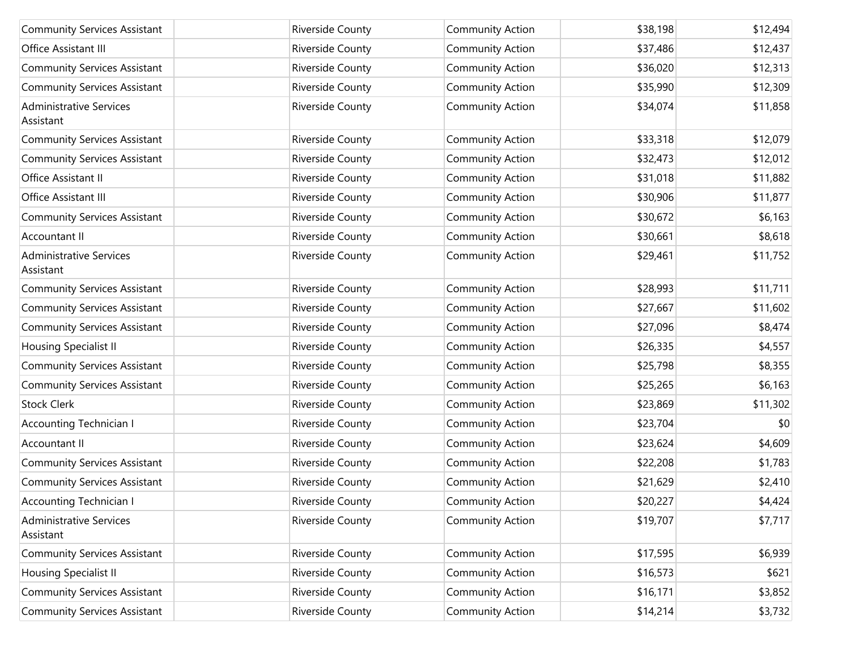| <b>Community Services Assistant</b>         | Riverside County        | <b>Community Action</b> | \$38,198 | \$12,494 |
|---------------------------------------------|-------------------------|-------------------------|----------|----------|
| Office Assistant III                        | Riverside County        | <b>Community Action</b> | \$37,486 | \$12,437 |
| <b>Community Services Assistant</b>         | Riverside County        | <b>Community Action</b> | \$36,020 | \$12,313 |
| <b>Community Services Assistant</b>         | Riverside County        | <b>Community Action</b> | \$35,990 | \$12,309 |
| <b>Administrative Services</b><br>Assistant | Riverside County        | <b>Community Action</b> | \$34,074 | \$11,858 |
| <b>Community Services Assistant</b>         | <b>Riverside County</b> | <b>Community Action</b> | \$33,318 | \$12,079 |
| <b>Community Services Assistant</b>         | Riverside County        | <b>Community Action</b> | \$32,473 | \$12,012 |
| Office Assistant II                         | Riverside County        | <b>Community Action</b> | \$31,018 | \$11,882 |
| Office Assistant III                        | Riverside County        | <b>Community Action</b> | \$30,906 | \$11,877 |
| <b>Community Services Assistant</b>         | <b>Riverside County</b> | <b>Community Action</b> | \$30,672 | \$6,163  |
| Accountant II                               | Riverside County        | <b>Community Action</b> | \$30,661 | \$8,618  |
| <b>Administrative Services</b><br>Assistant | <b>Riverside County</b> | <b>Community Action</b> | \$29,461 | \$11,752 |
| <b>Community Services Assistant</b>         | Riverside County        | <b>Community Action</b> | \$28,993 | \$11,711 |
| <b>Community Services Assistant</b>         | Riverside County        | <b>Community Action</b> | \$27,667 | \$11,602 |
| <b>Community Services Assistant</b>         | Riverside County        | <b>Community Action</b> | \$27,096 | \$8,474  |
| Housing Specialist II                       | Riverside County        | <b>Community Action</b> | \$26,335 | \$4,557  |
| <b>Community Services Assistant</b>         | Riverside County        | <b>Community Action</b> | \$25,798 | \$8,355  |
| <b>Community Services Assistant</b>         | Riverside County        | <b>Community Action</b> | \$25,265 | \$6,163  |
| <b>Stock Clerk</b>                          | Riverside County        | <b>Community Action</b> | \$23,869 | \$11,302 |
| <b>Accounting Technician I</b>              | Riverside County        | <b>Community Action</b> | \$23,704 | \$0      |
| Accountant II                               | Riverside County        | <b>Community Action</b> | \$23,624 | \$4,609  |
| <b>Community Services Assistant</b>         | Riverside County        | <b>Community Action</b> | \$22,208 | \$1,783  |
| <b>Community Services Assistant</b>         | Riverside County        | <b>Community Action</b> | \$21,629 | \$2,410  |
| Accounting Technician I                     | Riverside County        | <b>Community Action</b> | \$20,227 | \$4,424  |
| <b>Administrative Services</b><br>Assistant | <b>Riverside County</b> | <b>Community Action</b> | \$19,707 | \$7,717  |
| <b>Community Services Assistant</b>         | Riverside County        | <b>Community Action</b> | \$17,595 | \$6,939  |
| Housing Specialist II                       | Riverside County        | <b>Community Action</b> | \$16,573 | \$621    |
| <b>Community Services Assistant</b>         | Riverside County        | <b>Community Action</b> | \$16,171 | \$3,852  |
| <b>Community Services Assistant</b>         | Riverside County        | <b>Community Action</b> | \$14,214 | \$3,732  |